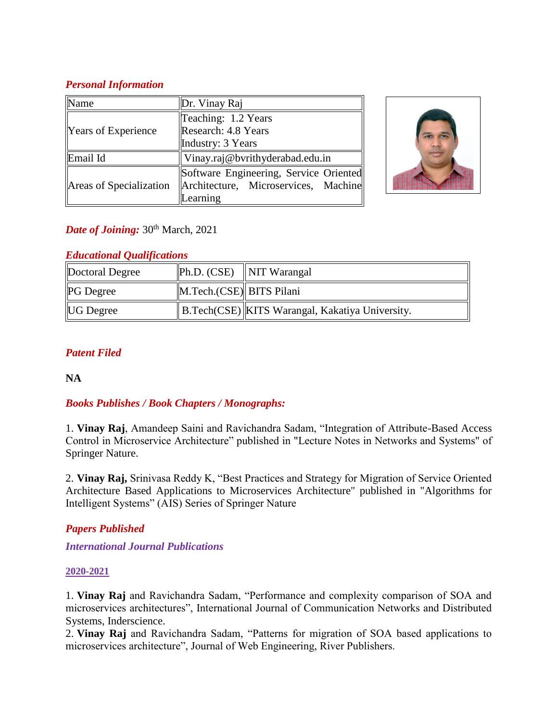### *Personal Information*

| √ame                       | Dr. Vinay Raj                          |  |
|----------------------------|----------------------------------------|--|
|                            | Teaching: 1.2 Years                    |  |
| <b>Years of Experience</b> | Research: 4.8 Years                    |  |
|                            | Industry: 3 Years                      |  |
| Email Id                   | Vinay.raj@bvrithyderabad.edu.in        |  |
| Areas of Specialization    | Software Engineering, Service Oriented |  |
|                            | Architecture, Microservices, Machine   |  |
|                            | earning                                |  |



# *Date of Joining:* 30<sup>th</sup> March, 2021

### *Educational Qualifications*

| Doctoral Degree  |                          | $\ Ph.D. (CSE) \  NIT Warangal$                   |
|------------------|--------------------------|---------------------------------------------------|
| <b>PG</b> Degree | M.Tech.(CSE) BITS Pilani |                                                   |
| <b>UG</b> Degree |                          | B.Tech(CSE)   KITS Warangal, Kakatiya University. |

# *Patent Filed*

**NA**

# *Books Publishes / Book Chapters / Monographs:*

1. **Vinay Raj**, Amandeep Saini and Ravichandra Sadam, "Integration of Attribute-Based Access Control in Microservice Architecture" published in "Lecture Notes in Networks and Systems" of Springer Nature.

2. **Vinay Raj,** Srinivasa Reddy K, "Best Practices and Strategy for Migration of Service Oriented Architecture Based Applications to Microservices Architecture" published in "Algorithms for Intelligent Systems" (AIS) Series of Springer Nature

# *Papers Published*

*International Journal Publications*

### **2020-2021**

1. **Vinay Raj** and Ravichandra Sadam, "Performance and complexity comparison of SOA and microservices architectures", International Journal of Communication Networks and Distributed Systems, Inderscience.

2. **Vinay Raj** and Ravichandra Sadam, "Patterns for migration of SOA based applications to microservices architecture", Journal of Web Engineering, River Publishers.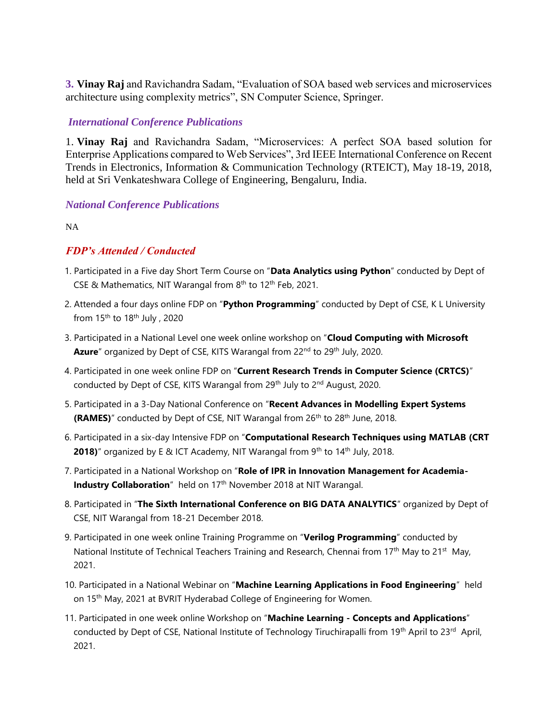**3. Vinay Raj** and Ravichandra Sadam, "Evaluation of SOA based web services and microservices architecture using complexity metrics", SN Computer Science, Springer.

#### *International Conference Publications*

1. **Vinay Raj** and Ravichandra Sadam, "Microservices: A perfect SOA based solution for Enterprise Applications compared to Web Services", 3rd IEEE International Conference on Recent Trends in Electronics, Information & Communication Technology (RTEICT), May 18-19, 2018, held at Sri Venkateshwara College of Engineering, Bengaluru, India.

#### *National Conference Publications*

NA

### *FDP's Attended / Conducted*

- 1. Participated in a Five day Short Term Course on "**Data Analytics using Python**" conducted by Dept of CSE & Mathematics, NIT Warangal from 8<sup>th</sup> to 12<sup>th</sup> Feb, 2021.
- 2. Attended a four days online FDP on "**Python Programming**" conducted by Dept of CSE, K L University from  $15<sup>th</sup>$  to  $18<sup>th</sup>$  July, 2020
- 3. Participated in a National Level one week online workshop on "**Cloud Computing with Microsoft**  Azure" organized by Dept of CSE, KITS Warangal from 22<sup>nd</sup> to 29<sup>th</sup> July, 2020.
- 4. Participated in one week online FDP on "**Current Research Trends in Computer Science (CRTCS)**" conducted by Dept of CSE, KITS Warangal from 29<sup>th</sup> July to 2<sup>nd</sup> August, 2020.
- 5. Participated in a 3-Day National Conference on "**Recent Advances in Modelling Expert Systems (RAMES)**" conducted by Dept of CSE, NIT Warangal from 26<sup>th</sup> to 28<sup>th</sup> June, 2018.
- 6. Participated in a six-day Intensive FDP on "**Computational Research Techniques using MATLAB (CRT 2018)**" organized by E & ICT Academy, NIT Warangal from 9<sup>th</sup> to 14<sup>th</sup> July, 2018.
- 7. Participated in a National Workshop on "**Role of IPR in Innovation Management for Academia-Industry Collaboration**" held on 17<sup>th</sup> November 2018 at NIT Warangal.
- 8. Participated in "**The Sixth International Conference on BIG DATA ANALYTICS**" organized by Dept of CSE, NIT Warangal from 18-21 December 2018.
- 9. Participated in one week online Training Programme on "**Verilog Programming**" conducted by National Institute of Technical Teachers Training and Research, Chennai from  $17<sup>th</sup>$  May to  $21<sup>st</sup>$  May, 2021.
- 10. Participated in a National Webinar on "**Machine Learning Applications in Food Engineering**" held on 15th May, 2021 at BVRIT Hyderabad College of Engineering for Women.
- 11. Participated in one week online Workshop on "**Machine Learning - Concepts and Applications**" conducted by Dept of CSE, National Institute of Technology Tiruchirapalli from 19<sup>th</sup> April to 23<sup>rd</sup> April, 2021.